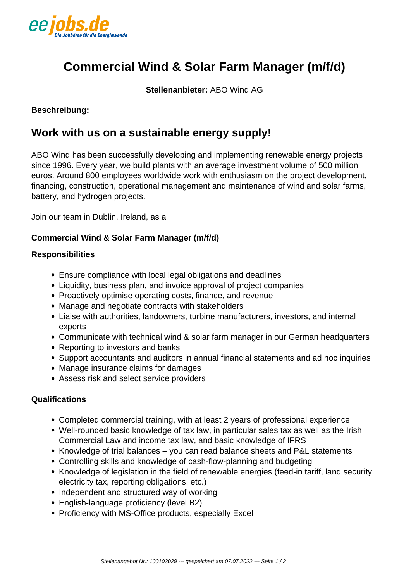

# **Commercial Wind & Solar Farm Manager (m/f/d)**

**Stellenanbieter:** ABO Wind AG

### **Beschreibung:**

# **Work with us on a sustainable energy supply!**

ABO Wind has been successfully developing and implementing renewable energy projects since 1996. Every year, we build plants with an average investment volume of 500 million euros. Around 800 employees worldwide work with enthusiasm on the project development, financing, construction, operational management and maintenance of wind and solar farms, battery, and hydrogen projects.

Join our team in Dublin, Ireland, as a

#### **Commercial Wind & Solar Farm Manager (m/f/d)**

#### **Responsibilities**

- Ensure compliance with local legal obligations and deadlines
- Liquidity, business plan, and invoice approval of project companies
- Proactively optimise operating costs, finance, and revenue
- Manage and negotiate contracts with stakeholders
- Liaise with authorities, landowners, turbine manufacturers, investors, and internal experts
- Communicate with technical wind & solar farm manager in our German headquarters
- Reporting to investors and banks
- Support accountants and auditors in annual financial statements and ad hoc inquiries
- Manage insurance claims for damages
- Assess risk and select service providers

#### **Qualifications**

- Completed commercial training, with at least 2 years of professional experience
- Well-rounded basic knowledge of tax law, in particular sales tax as well as the Irish Commercial Law and income tax law, and basic knowledge of IFRS
- Knowledge of trial balances you can read balance sheets and P&L statements
- Controlling skills and knowledge of cash-flow-planning and budgeting
- Knowledge of legislation in the field of renewable energies (feed-in tariff, land security, electricity tax, reporting obligations, etc.)
- Independent and structured way of working
- English-language proficiency (level B2)
- Proficiency with MS-Office products, especially Excel